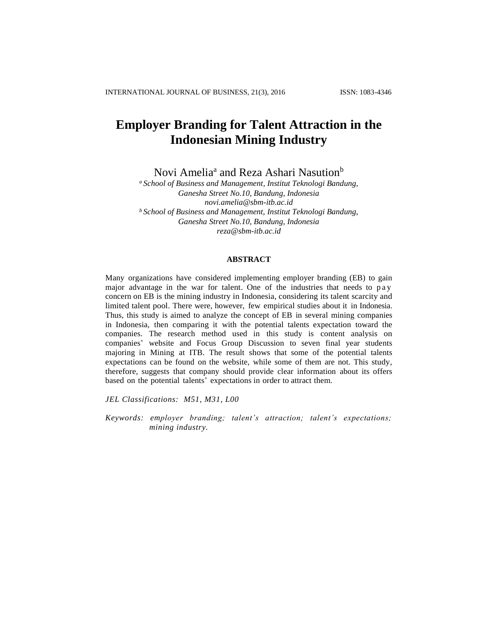# **Employer Branding for Talent Attraction in the Indonesian Mining Industry**

Novi Amelia<sup>a</sup> and Reza Ashari Nasution<sup>b</sup>

*<sup>a</sup> School of Business and Management, Institut Teknologi Bandung, Ganesha Street No.10, Bandung, Indonesia [novi.amelia@sbm-itb.ac.id](mailto:novi.amelia@sbm-itb.ac.id) <sup>b</sup>School of Business and Management, Institut Teknologi Bandung, Ganesha Street No.10, Bandung, Indonesia [reza@sbm-itb.ac.id](mailto:reza@sbm-itb.ac.id)*

## **ABSTRACT**

Many organizations have considered implementing employer branding (EB) to gain major advantage in the war for talent. One of the industries that needs to pay concern on EB is the mining industry in Indonesia, considering its talent scarcity and limited talent pool. There were, however, few empirical studies about it in Indonesia. Thus, this study is aimed to analyze the concept of EB in several mining companies in Indonesia, then comparing it with the potential talents expectation toward the companies. The research method used in this study is content analysis on companies' website and Focus Group Discussion to seven final year students majoring in Mining at ITB. The result shows that some of the potential talents expectations can be found on the website, while some of them are not. This study, therefore, suggests that company should provide clear information about its offers based on the potential talents' expectations in order to attract them.

*JEL Classifications: M51, M31, L00*

*Keywords: employer branding; talent's attraction; talent's expectations; mining industry.*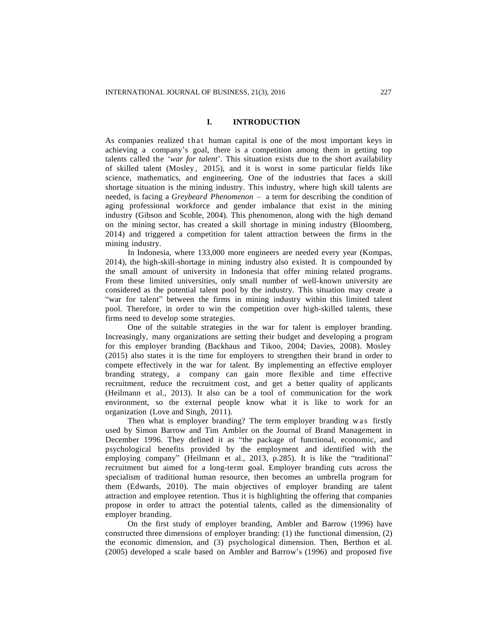## **I. INTRODUCTION**

As companies realized that human capital is one of the most important keys in achieving a company's goal, there is a competition among them in getting top talents called the '*war for talent*'. This situation exists due to the short availability of skilled talent (Mosley , 2015), and it is worst in some particular fields like science, mathematics, and engineering. One of the industries that faces a skill shortage situation is the mining industry. This industry, where high skill talents are needed, is facing a *Greybeard Phenomenon –* a term for describing the condition of aging professional workforce and gender imbalance that exist in the mining industry (Gibson and Scoble, 2004). This phenomenon, along with the high demand on the mining sector, has created a skill shortage in mining industry (Bloomberg, 2014) and triggered a competition for talent attraction between the firms in the mining industry.

In Indonesia, where 133,000 more engineers are needed every year (Kompas, 2014), the high-skill-shortage in mining industry also existed. It is compounded by the small amount of university in Indonesia that offer mining related programs. From these limited universities, only small number of well-known university are considered as the potential talent pool by the industry. This situation may create a "war for talent" between the firms in mining industry within this limited talent pool. Therefore, in order to win the competition over high-skilled talents, these firms need to develop some strategies.

One of the suitable strategies in the war for talent is employer branding. Increasingly, many organizations are setting their budget and developing a program for this employer branding (Backhaus and Tikoo, 2004; Davies, 2008). Mosley (2015) also states it is the time for employers to strengthen their brand in order to compete effectively in the war for talent. By implementing an effective employer branding strategy, a company can gain more flexible and time effective recruitment, reduce the recruitment cost, and get a better quality of applicants (Heilmann et al., 2013). It also can be a tool of communication for the work environment, so the external people know what it is like to work for an organization (Love and Singh, 2011).

Then what is employer branding? The term employer branding was firstly used by Simon Barrow and Tim Ambler on the Journal of Brand Management in December 1996. They defined it as "the package of functional, economic, and psychological benefits provided by the employment and identified with the employing company" (Heilmann et al., 2013, p.285). It is like the "traditional" recruitment but aimed for a long-term goal. Employer branding cuts across the specialism of traditional human resource, then becomes an umbrella program for them (Edwards, 2010). The main objectives of employer branding are talent attraction and employee retention. Thus it is highlighting the offering that companies propose in order to attract the potential talents, called as the dimensionality of employer branding.

On the first study of employer branding, Ambler and Barrow (1996) have constructed three dimensions of employer branding: (1) the functional dimension, (2) the economic dimension, and (3) psychological dimension. Then, Berthon et al. (2005) developed a scale based on Ambler and Barrow's (1996) and proposed five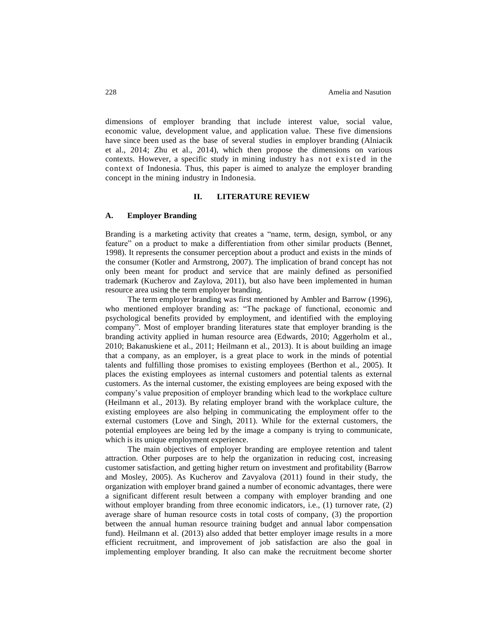dimensions of employer branding that include interest value, social value, economic value, development value, and application value. These five dimensions have since been used as the base of several studies in employer branding (Alniacik et al., 2014; Zhu et al., 2014), which then propose the dimensions on various contexts. However, a specific study in mining industry has not existed in the context of Indonesia. Thus, this paper is aimed to analyze the employer branding concept in the mining industry in Indonesia.

# **II. LITERATURE REVIEW**

### **A. Employer Branding**

Branding is a marketing activity that creates a "name, term, design, symbol, or any feature" on a product to make a differentiation from other similar products (Bennet, 1998). It represents the consumer perception about a product and exists in the minds of the consumer (Kotler and Armstrong, 2007). The implication of brand concept has not only been meant for product and service that are mainly defined as personified trademark (Kucherov and Zaylova, 2011), but also have been implemented in human resource area using the term employer branding.

The term employer branding was first mentioned by Ambler and Barrow (1996), who mentioned employer branding as: "The package of functional, economic and psychological benefits provided by employment, and identified with the employing company". Most of employer branding literatures state that employer branding is the branding activity applied in human resource area (Edwards, 2010; Aggerholm et al., 2010; Bakanuskiene et al., 2011; Heilmann et al., 2013). It is about building an image that a company, as an employer, is a great place to work in the minds of potential talents and fulfilling those promises to existing employees (Berthon et al., 2005). It places the existing employees as internal customers and potential talents as external customers. As the internal customer, the existing employees are being exposed with the company's value preposition of employer branding which lead to the workplace culture (Heilmann et al., 2013). By relating employer brand with the workplace culture, the existing employees are also helping in communicating the employment offer to the external customers (Love and Singh, 2011). While for the external customers, the potential employees are being led by the image a company is trying to communicate, which is its unique employment experience.

The main objectives of employer branding are employee retention and talent attraction. Other purposes are to help the organization in reducing cost, increasing customer satisfaction, and getting higher return on investment and profitability (Barrow and Mosley, 2005). As Kucherov and Zavyalova (2011) found in their study, the organization with employer brand gained a number of economic advantages, there were a significant different result between a company with employer branding and one without employer branding from three economic indicators, i.e., (1) turnover rate, (2) average share of human resource costs in total costs of company, (3) the proportion between the annual human resource training budget and annual labor compensation fund). Heilmann et al. (2013) also added that better employer image results in a more efficient recruitment, and improvement of job satisfaction are also the goal in implementing employer branding. It also can make the recruitment become shorter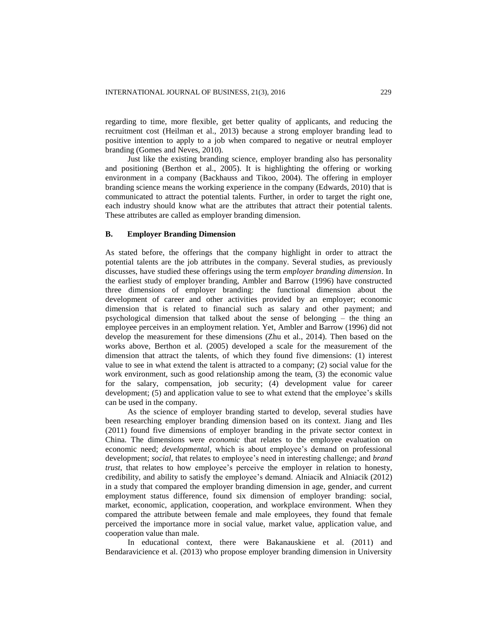regarding to time, more flexible, get better quality of applicants, and reducing the recruitment cost (Heilman et al., 2013) because a strong employer branding lead to positive intention to apply to a job when compared to negative or neutral employer branding (Gomes and Neves, 2010).

Just like the existing branding science, employer branding also has personality and positioning (Berthon et al., 2005). It is highlighting the offering or working environment in a company (Backhauss and Tikoo, 2004). The offering in employer branding science means the working experience in the company (Edwards, 2010) that is communicated to attract the potential talents. Further, in order to target the right one, each industry should know what are the attributes that attract their potential talents. These attributes are called as employer branding dimension.

### **B. Employer Branding Dimension**

As stated before, the offerings that the company highlight in order to attract the potential talents are the job attributes in the company. Several studies, as previously discusses, have studied these offerings using the term *employer branding dimension*. In the earliest study of employer branding, Ambler and Barrow (1996) have constructed three dimensions of employer branding: the functional dimension about the development of career and other activities provided by an employer; economic dimension that is related to financial such as salary and other payment; and psychological dimension that talked about the sense of belonging – the thing an employee perceives in an employment relation. Yet, Ambler and Barrow (1996) did not develop the measurement for these dimensions (Zhu et al., 2014). Then based on the works above, Berthon et al. (2005) developed a scale for the measurement of the dimension that attract the talents, of which they found five dimensions: (1) interest value to see in what extend the talent is attracted to a company; (2) social value for the work environment, such as good relationship among the team, (3) the economic value for the salary, compensation, job security; (4) development value for career development; (5) and application value to see to what extend that the employee's skills can be used in the company.

As the science of employer branding started to develop, several studies have been researching employer branding dimension based on its context. Jiang and Iles (2011) found five dimensions of employer branding in the private sector context in China. The dimensions were *economic* that relates to the employee evaluation on economic need; *developmental*, which is about employee's demand on professional development; *social*, that relates to employee's need in interesting challenge; and *brand trust*, that relates to how employee's perceive the employer in relation to honesty, credibility, and ability to satisfy the employee's demand. Alniacik and Alniacik (2012) in a study that compared the employer branding dimension in age, gender, and current employment status difference, found six dimension of employer branding: social, market, economic, application, cooperation, and workplace environment. When they compared the attribute between female and male employees, they found that female perceived the importance more in social value, market value, application value, and cooperation value than male.

In educational context, there were Bakanauskiene et al. (2011) and Bendaravicience et al. (2013) who propose employer branding dimension in University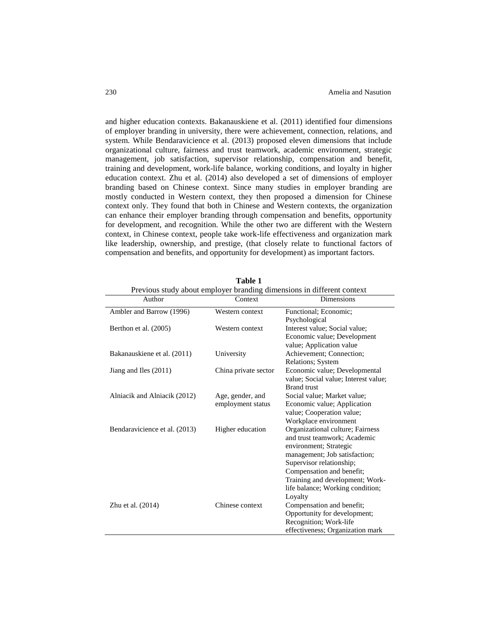and higher education contexts. Bakanauskiene et al. (2011) identified four dimensions of employer branding in university, there were achievement, connection, relations, and system. While Bendaravicience et al. (2013) proposed eleven dimensions that include organizational culture, fairness and trust teamwork, academic environment, strategic management, job satisfaction, supervisor relationship, compensation and benefit, training and development, work-life balance, working conditions, and loyalty in higher education context. Zhu et al. (2014) also developed a set of dimensions of employer branding based on Chinese context. Since many studies in employer branding are mostly conducted in Western context, they then proposed a dimension for Chinese context only. They found that both in Chinese and Western contexts, the organization can enhance their employer branding through compensation and benefits, opportunity for development, and recognition. While the other two are different with the Western context, in Chinese context, people take work-life effectiveness and organization mark like leadership, ownership, and prestige, (that closely relate to functional factors of compensation and benefits, and opportunity for development) as important factors.

| Previous study about employer branding dimensions in different context |                      |                                                                       |  |  |
|------------------------------------------------------------------------|----------------------|-----------------------------------------------------------------------|--|--|
| Author                                                                 | Context              | <b>Dimensions</b>                                                     |  |  |
| Ambler and Barrow (1996)                                               | Western context      | Functional; Economic;                                                 |  |  |
|                                                                        |                      | Psychological                                                         |  |  |
| Berthon et al. (2005)                                                  | Western context      | Interest value; Social value;                                         |  |  |
|                                                                        |                      | Economic value; Development                                           |  |  |
|                                                                        |                      | value; Application value                                              |  |  |
| Bakanauskiene et al. (2011)                                            | University           | Achievement; Connection;                                              |  |  |
|                                                                        |                      | Relations; System                                                     |  |  |
| Jiang and Iles (2011)                                                  | China private sector | Economic value; Developmental<br>value; Social value; Interest value; |  |  |
|                                                                        |                      | Brand trust                                                           |  |  |
| Alniacik and Alniacik (2012)                                           | Age, gender, and     | Social value; Market value;                                           |  |  |
|                                                                        | employment status    | Economic value; Application                                           |  |  |
|                                                                        |                      | value; Cooperation value;                                             |  |  |
|                                                                        |                      | Workplace environment                                                 |  |  |
| Bendaravicience et al. (2013)                                          | Higher education     | Organizational culture; Fairness                                      |  |  |
|                                                                        |                      | and trust teamwork; Academic                                          |  |  |
|                                                                        |                      | environment; Strategic                                                |  |  |
|                                                                        |                      | management; Job satisfaction;                                         |  |  |
|                                                                        |                      | Supervisor relationship;                                              |  |  |
|                                                                        |                      | Compensation and benefit;                                             |  |  |
|                                                                        |                      | Training and development; Work-                                       |  |  |
|                                                                        |                      | life balance; Working condition;                                      |  |  |
|                                                                        |                      | Loyalty                                                               |  |  |
| Zhu et al. (2014)                                                      | Chinese context      | Compensation and benefit;                                             |  |  |
|                                                                        |                      | Opportunity for development;                                          |  |  |
|                                                                        |                      | Recognition; Work-life                                                |  |  |
|                                                                        |                      | effectiveness; Organization mark                                      |  |  |

**Table 1**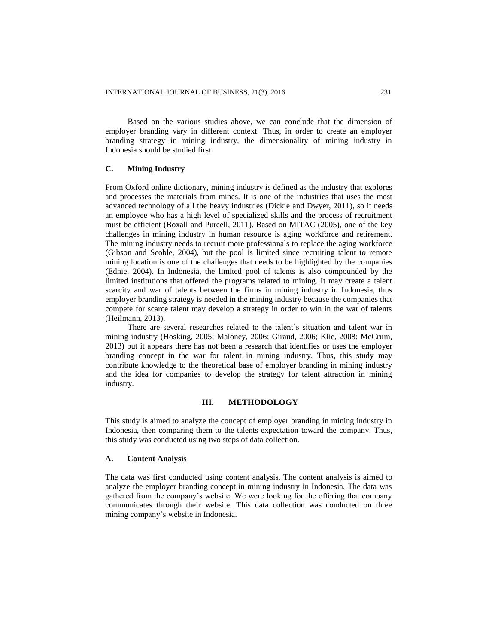Based on the various studies above, we can conclude that the dimension of employer branding vary in different context. Thus, in order to create an employer branding strategy in mining industry, the dimensionality of mining industry in Indonesia should be studied first.

## **C. Mining Industry**

From Oxford online dictionary, mining industry is defined as the industry that explores and processes the materials from mines. It is one of the industries that uses the most advanced technology of all the heavy industries (Dickie and Dwyer, 2011), so it needs an employee who has a high level of specialized skills and the process of recruitment must be efficient (Boxall and Purcell, 2011). Based on MITAC (2005), one of the key challenges in mining industry in human resource is aging workforce and retirement. The mining industry needs to recruit more professionals to replace the aging workforce (Gibson and Scoble, 2004), but the pool is limited since recruiting talent to remote mining location is one of the challenges that needs to be highlighted by the companies (Ednie, 2004). In Indonesia, the limited pool of talents is also compounded by the limited institutions that offered the programs related to mining. It may create a talent scarcity and war of talents between the firms in mining industry in Indonesia, thus employer branding strategy is needed in the mining industry because the companies that compete for scarce talent may develop a strategy in order to win in the war of talents (Heilmann, 2013).

There are several researches related to the talent's situation and talent war in mining industry (Hosking, 2005; Maloney, 2006; Giraud, 2006; Klie, 2008; McCrum, 2013) but it appears there has not been a research that identifies or uses the employer branding concept in the war for talent in mining industry. Thus, this study may contribute knowledge to the theoretical base of employer branding in mining industry and the idea for companies to develop the strategy for talent attraction in mining industry.

# **III. METHODOLOGY**

This study is aimed to analyze the concept of employer branding in mining industry in Indonesia, then comparing them to the talents expectation toward the company. Thus, this study was conducted using two steps of data collection.

## **A. Content Analysis**

The data was first conducted using content analysis. The content analysis is aimed to analyze the employer branding concept in mining industry in Indonesia. The data was gathered from the company's website. We were looking for the offering that company communicates through their website. This data collection was conducted on three mining company's website in Indonesia.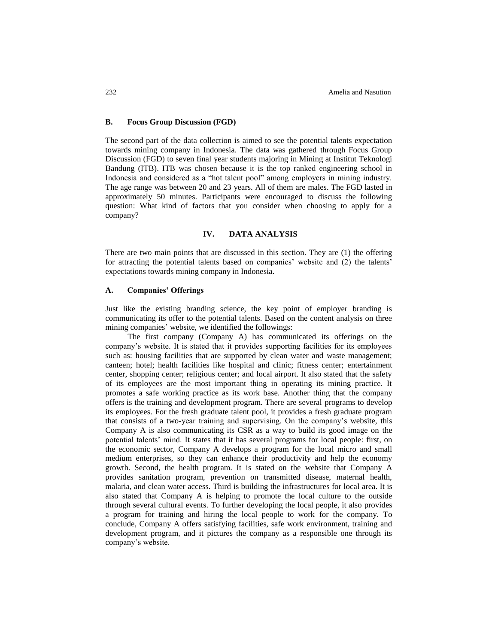# **B. Focus Group Discussion (FGD)**

The second part of the data collection is aimed to see the potential talents expectation towards mining company in Indonesia. The data was gathered through Focus Group Discussion (FGD) to seven final year students majoring in Mining at Institut Teknologi Bandung (ITB). ITB was chosen because it is the top ranked engineering school in Indonesia and considered as a "hot talent pool" among employers in mining industry. The age range was between 20 and 23 years. All of them are males. The FGD lasted in approximately 50 minutes. Participants were encouraged to discuss the following question: What kind of factors that you consider when choosing to apply for a company?

### **IV. DATA ANALYSIS**

There are two main points that are discussed in this section. They are (1) the offering for attracting the potential talents based on companies' website and (2) the talents' expectations towards mining company in Indonesia.

# **A. Companies' Offerings**

Just like the existing branding science, the key point of employer branding is communicating its offer to the potential talents. Based on the content analysis on three mining companies' website, we identified the followings:

The first company (Company A) has communicated its offerings on the company's website. It is stated that it provides supporting facilities for its employees such as: housing facilities that are supported by clean water and waste management; canteen; hotel; health facilities like hospital and clinic; fitness center; entertainment center, shopping center; religious center; and local airport. It also stated that the safety of its employees are the most important thing in operating its mining practice. It promotes a safe working practice as its work base. Another thing that the company offers is the training and development program. There are several programs to develop its employees. For the fresh graduate talent pool, it provides a fresh graduate program that consists of a two-year training and supervising. On the company's website, this Company A is also communicating its CSR as a way to build its good image on the potential talents' mind. It states that it has several programs for local people: first, on the economic sector, Company A develops a program for the local micro and small medium enterprises, so they can enhance their productivity and help the economy growth. Second, the health program. It is stated on the website that Company A provides sanitation program, prevention on transmitted disease, maternal health, malaria, and clean water access. Third is building the infrastructures for local area. It is also stated that Company A is helping to promote the local culture to the outside through several cultural events. To further developing the local people, it also provides a program for training and hiring the local people to work for the company. To conclude, Company A offers satisfying facilities, safe work environment, training and development program, and it pictures the company as a responsible one through its company's website.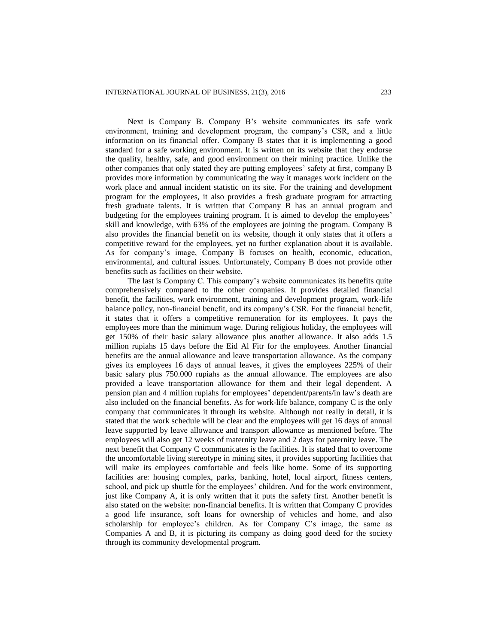Next is Company B. Company B's website communicates its safe work environment, training and development program, the company's CSR, and a little information on its financial offer. Company B states that it is implementing a good standard for a safe working environment. It is written on its website that they endorse the quality, healthy, safe, and good environment on their mining practice. Unlike the other companies that only stated they are putting employees' safety at first, company B provides more information by communicating the way it manages work incident on the work place and annual incident statistic on its site. For the training and development program for the employees, it also provides a fresh graduate program for attracting fresh graduate talents. It is written that Company B has an annual program and budgeting for the employees training program. It is aimed to develop the employees' skill and knowledge, with 63% of the employees are joining the program. Company B also provides the financial benefit on its website, though it only states that it offers a competitive reward for the employees, yet no further explanation about it is available. As for company's image, Company B focuses on health, economic, education, environmental, and cultural issues. Unfortunately, Company B does not provide other benefits such as facilities on their website.

The last is Company C. This company's website communicates its benefits quite comprehensively compared to the other companies. It provides detailed financial benefit, the facilities, work environment, training and development program, work-life balance policy, non-financial benefit, and its company's CSR. For the financial benefit, it states that it offers a competitive remuneration for its employees. It pays the employees more than the minimum wage. During religious holiday, the employees will get 150% of their basic salary allowance plus another allowance. It also adds 1.5 million rupiahs 15 days before the Eid Al Fitr for the employees. Another financial benefits are the annual allowance and leave transportation allowance. As the company gives its employees 16 days of annual leaves, it gives the employees 225% of their basic salary plus 750.000 rupiahs as the annual allowance. The employees are also provided a leave transportation allowance for them and their legal dependent. A pension plan and 4 million rupiahs for employees' dependent/parents/in law's death are also included on the financial benefits. As for work-life balance, company C is the only company that communicates it through its website. Although not really in detail, it is stated that the work schedule will be clear and the employees will get 16 days of annual leave supported by leave allowance and transport allowance as mentioned before. The employees will also get 12 weeks of maternity leave and 2 days for paternity leave. The next benefit that Company C communicates is the facilities. It is stated that to overcome the uncomfortable living stereotype in mining sites, it provides supporting facilities that will make its employees comfortable and feels like home. Some of its supporting facilities are: housing complex, parks, banking, hotel, local airport, fitness centers, school, and pick up shuttle for the employees' children. And for the work environment, just like Company A, it is only written that it puts the safety first. Another benefit is also stated on the website: non-financial benefits. It is written that Company C provides a good life insurance, soft loans for ownership of vehicles and home, and also scholarship for employee's children. As for Company C's image, the same as Companies A and B, it is picturing its company as doing good deed for the society through its community developmental program.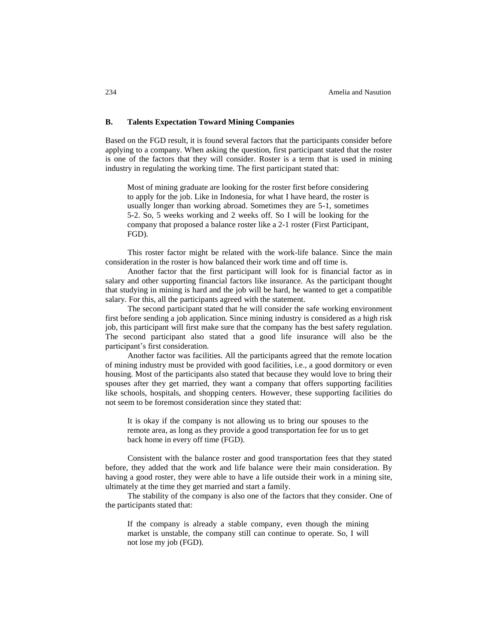## **B. Talents Expectation Toward Mining Companies**

Based on the FGD result, it is found several factors that the participants consider before applying to a company. When asking the question, first participant stated that the roster is one of the factors that they will consider. Roster is a term that is used in mining industry in regulating the working time. The first participant stated that:

Most of mining graduate are looking for the roster first before considering to apply for the job. Like in Indonesia, for what I have heard, the roster is usually longer than working abroad. Sometimes they are 5-1, sometimes 5-2. So, 5 weeks working and 2 weeks off. So I will be looking for the company that proposed a balance roster like a 2-1 roster (First Participant, FGD).

This roster factor might be related with the work-life balance. Since the main consideration in the roster is how balanced their work time and off time is.

Another factor that the first participant will look for is financial factor as in salary and other supporting financial factors like insurance. As the participant thought that studying in mining is hard and the job will be hard, he wanted to get a compatible salary. For this, all the participants agreed with the statement.

The second participant stated that he will consider the safe working environment first before sending a job application. Since mining industry is considered as a high risk job, this participant will first make sure that the company has the best safety regulation. The second participant also stated that a good life insurance will also be the participant's first consideration.

Another factor was facilities. All the participants agreed that the remote location of mining industry must be provided with good facilities, i.e., a good dormitory or even housing. Most of the participants also stated that because they would love to bring their spouses after they get married, they want a company that offers supporting facilities like schools, hospitals, and shopping centers. However, these supporting facilities do not seem to be foremost consideration since they stated that:

It is okay if the company is not allowing us to bring our spouses to the remote area, as long as they provide a good transportation fee for us to get back home in every off time (FGD).

Consistent with the balance roster and good transportation fees that they stated before, they added that the work and life balance were their main consideration. By having a good roster, they were able to have a life outside their work in a mining site, ultimately at the time they get married and start a family.

The stability of the company is also one of the factors that they consider. One of the participants stated that:

If the company is already a stable company, even though the mining market is unstable, the company still can continue to operate. So, I will not lose my job (FGD).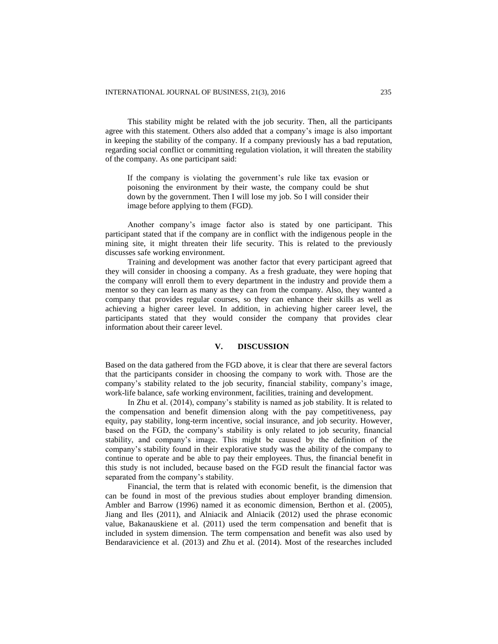This stability might be related with the job security. Then, all the participants agree with this statement. Others also added that a company's image is also important in keeping the stability of the company. If a company previously has a bad reputation, regarding social conflict or committing regulation violation, it will threaten the stability of the company. As one participant said:

If the company is violating the government's rule like tax evasion or poisoning the environment by their waste, the company could be shut down by the government. Then I will lose my job. So I will consider their image before applying to them (FGD).

Another company's image factor also is stated by one participant. This participant stated that if the company are in conflict with the indigenous people in the mining site, it might threaten their life security. This is related to the previously discusses safe working environment.

Training and development was another factor that every participant agreed that they will consider in choosing a company. As a fresh graduate, they were hoping that the company will enroll them to every department in the industry and provide them a mentor so they can learn as many as they can from the company. Also, they wanted a company that provides regular courses, so they can enhance their skills as well as achieving a higher career level. In addition, in achieving higher career level, the participants stated that they would consider the company that provides clear information about their career level.

## **V. DISCUSSION**

Based on the data gathered from the FGD above, it is clear that there are several factors that the participants consider in choosing the company to work with. Those are the company's stability related to the job security, financial stability, company's image, work-life balance, safe working environment, facilities, training and development.

In Zhu et al. (2014), company's stability is named as job stability. It is related to the compensation and benefit dimension along with the pay competitiveness, pay equity, pay stability, long-term incentive, social insurance, and job security. However, based on the FGD, the company's stability is only related to job security, financial stability, and company's image. This might be caused by the definition of the company's stability found in their explorative study was the ability of the company to continue to operate and be able to pay their employees. Thus, the financial benefit in this study is not included, because based on the FGD result the financial factor was separated from the company's stability.

Financial, the term that is related with economic benefit, is the dimension that can be found in most of the previous studies about employer branding dimension. Ambler and Barrow (1996) named it as economic dimension, Berthon et al. (2005), Jiang and Iles (2011), and Alniacik and Alniacik (2012) used the phrase economic value, Bakanauskiene et al. (2011) used the term compensation and benefit that is included in system dimension. The term compensation and benefit was also used by Bendaravicience et al. (2013) and Zhu et al. (2014). Most of the researches included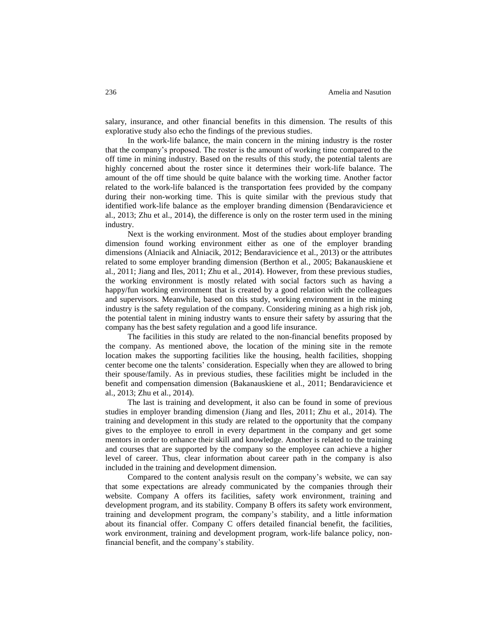salary, insurance, and other financial benefits in this dimension. The results of this explorative study also echo the findings of the previous studies.

In the work-life balance, the main concern in the mining industry is the roster that the company's proposed. The roster is the amount of working time compared to the off time in mining industry. Based on the results of this study, the potential talents are highly concerned about the roster since it determines their work-life balance. The amount of the off time should be quite balance with the working time. Another factor related to the work-life balanced is the transportation fees provided by the company during their non-working time. This is quite similar with the previous study that identified work-life balance as the employer branding dimension (Bendaravicience et al., 2013; Zhu et al.*,* 2014), the difference is only on the roster term used in the mining industry.

Next is the working environment. Most of the studies about employer branding dimension found working environment either as one of the employer branding dimensions (Alniacik and Alniacik, 2012; Bendaravicience et al.*,* 2013) or the attributes related to some employer branding dimension (Berthon et al.*,* 2005; Bakanauskiene et al.*,* 2011; Jiang and Iles, 2011; Zhu et al.*, 2*014). However, from these previous studies, the working environment is mostly related with social factors such as having a happy/fun working environment that is created by a good relation with the colleagues and supervisors. Meanwhile, based on this study, working environment in the mining industry is the safety regulation of the company. Considering mining as a high risk job, the potential talent in mining industry wants to ensure their safety by assuring that the company has the best safety regulation and a good life insurance.

The facilities in this study are related to the non-financial benefits proposed by the company. As mentioned above, the location of the mining site in the remote location makes the supporting facilities like the housing, health facilities, shopping center become one the talents' consideration. Especially when they are allowed to bring their spouse/family. As in previous studies, these facilities might be included in the benefit and compensation dimension (Bakanauskiene et al.*,* 2011; Bendaravicience et al.*,* 2013; Zhu et al.*,* 2014).

The last is training and development, it also can be found in some of previous studies in employer branding dimension (Jiang and Iles, 2011; Zhu et al.*,* 2014). The training and development in this study are related to the opportunity that the company gives to the employee to enroll in every department in the company and get some mentors in order to enhance their skill and knowledge. Another is related to the training and courses that are supported by the company so the employee can achieve a higher level of career. Thus, clear information about career path in the company is also included in the training and development dimension.

Compared to the content analysis result on the company's website, we can say that some expectations are already communicated by the companies through their website. Company A offers its facilities, safety work environment, training and development program, and its stability. Company B offers its safety work environment, training and development program, the company's stability, and a little information about its financial offer. Company C offers detailed financial benefit, the facilities, work environment, training and development program, work-life balance policy, nonfinancial benefit, and the company's stability.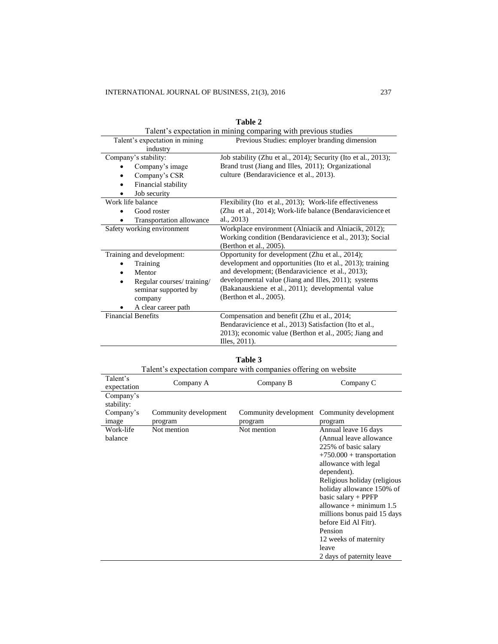| Talent's expectation in mining comparing with previous studies |                                                                |  |
|----------------------------------------------------------------|----------------------------------------------------------------|--|
| Talent's expectation in mining                                 | Previous Studies: employer branding dimension                  |  |
| industry                                                       |                                                                |  |
| Company's stability:                                           | Job stability (Zhu et al., 2014); Security (Ito et al., 2013); |  |
| Company's image                                                | Brand trust (Jiang and Illes, 2011); Organizational            |  |
| Company's CSR                                                  | culture (Bendaravicience et al., 2013).                        |  |
| Financial stability                                            |                                                                |  |
| Job security                                                   |                                                                |  |
| Work life balance                                              | Flexibility (Ito et al., 2013); Work-life effectiveness        |  |
| Good roster                                                    | (Zhu et al., 2014); Work-life balance (Bendaravicience et      |  |
| Transportation allowance                                       | al., 2013)                                                     |  |
| Safety working environment                                     | Workplace environment (Alniacik and Alniacik, 2012);           |  |
|                                                                | Working condition (Bendaravicience et al., 2013); Social       |  |
|                                                                | (Berthon et al., 2005).                                        |  |
| Training and development:                                      | Opportunity for development (Zhu et al., 2014);                |  |
| Training                                                       | development and opportunities (Ito et al., 2013); training     |  |
| Mentor                                                         | and development; (Bendaravicience et al., 2013);               |  |
| Regular courses/training/                                      | developmental value (Jiang and Illes, 2011); systems           |  |
| seminar supported by                                           | (Bakanauskiene et al., 2011); developmental value              |  |
| company                                                        | (Berthon et al., 2005).                                        |  |
| A clear career path                                            |                                                                |  |
| <b>Financial Benefits</b>                                      | Compensation and benefit (Zhu et al., 2014;                    |  |
|                                                                | Bendaravicience et al., 2013) Satisfaction (Ito et al.,        |  |
|                                                                | 2013); economic value (Berthon et al., 2005; Jiang and         |  |
|                                                                | Illes, $2011$ ).                                               |  |

| 'able |  |
|-------|--|
|       |  |

| Talent's expectation compare with companies offering on website |                                  |                                  |                                                                                                                                                                                                                                                                                                                                                                                                    |
|-----------------------------------------------------------------|----------------------------------|----------------------------------|----------------------------------------------------------------------------------------------------------------------------------------------------------------------------------------------------------------------------------------------------------------------------------------------------------------------------------------------------------------------------------------------------|
| Talent's<br>expectation                                         | Company A                        | Company B                        | Company C                                                                                                                                                                                                                                                                                                                                                                                          |
| Company's<br>stability:<br>Company's<br>image                   | Community development<br>program | Community development<br>program | Community development<br>program                                                                                                                                                                                                                                                                                                                                                                   |
| Work-life<br>balance                                            | Not mention                      | Not mention                      | Annual leave 16 days<br>(Annual leave allowance)<br>225% of basic salary<br>$+750.000 +$ transportation<br>allowance with legal<br>dependent).<br>Religious holiday (religious<br>holiday allowance 150% of<br>basic salary $+$ PPFP<br>allowance $+$ minimum 1.5<br>millions bonus paid 15 days<br>before Eid Al Fitr).<br>Pension<br>12 weeks of maternity<br>leave<br>2 days of paternity leave |

## **Table 3**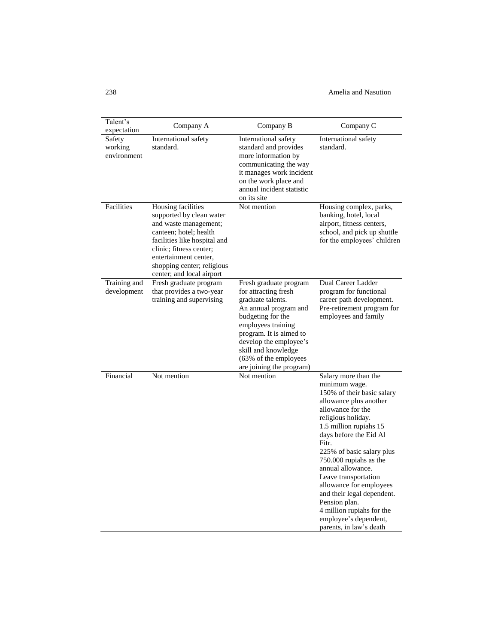238 Amelia and Nasution

| Talent's<br>expectation          | Company A                                                                                                                                                                                                                                        | Company B                                                                                                                                                                                                                                                                | Company C                                                                                                                                                                                                                                                                                                                                                                                                                                                            |
|----------------------------------|--------------------------------------------------------------------------------------------------------------------------------------------------------------------------------------------------------------------------------------------------|--------------------------------------------------------------------------------------------------------------------------------------------------------------------------------------------------------------------------------------------------------------------------|----------------------------------------------------------------------------------------------------------------------------------------------------------------------------------------------------------------------------------------------------------------------------------------------------------------------------------------------------------------------------------------------------------------------------------------------------------------------|
| Safety<br>working<br>environment | International safety<br>standard.                                                                                                                                                                                                                | International safety<br>standard and provides<br>more information by<br>communicating the way<br>it manages work incident<br>on the work place and<br>annual incident statistic<br>on its site                                                                           | International safety<br>standard.                                                                                                                                                                                                                                                                                                                                                                                                                                    |
| Facilities                       | Housing facilities<br>supported by clean water<br>and waste management;<br>canteen; hotel; health<br>facilities like hospital and<br>clinic; fitness center;<br>entertainment center,<br>shopping center; religious<br>center; and local airport | Not mention                                                                                                                                                                                                                                                              | Housing complex, parks,<br>banking, hotel, local<br>airport, fitness centers,<br>school, and pick up shuttle<br>for the employees' children                                                                                                                                                                                                                                                                                                                          |
| Training and<br>development      | Fresh graduate program<br>that provides a two-year<br>training and supervising                                                                                                                                                                   | Fresh graduate program<br>for attracting fresh<br>graduate talents.<br>An annual program and<br>budgeting for the<br>employees training<br>program. It is aimed to<br>develop the employee's<br>skill and knowledge<br>(63% of the employees<br>are joining the program) | Dual Career Ladder<br>program for functional<br>career path development.<br>Pre-retirement program for<br>employees and family                                                                                                                                                                                                                                                                                                                                       |
| Financial                        | Not mention                                                                                                                                                                                                                                      | Not mention                                                                                                                                                                                                                                                              | Salary more than the<br>minimum wage.<br>150% of their basic salary<br>allowance plus another<br>allowance for the<br>religious holiday.<br>1.5 million rupiahs 15<br>days before the Eid Al<br>Fitr.<br>225% of basic salary plus<br>750.000 rupiahs as the<br>annual allowance.<br>Leave transportation<br>allowance for employees<br>and their legal dependent.<br>Pension plan.<br>4 million rupiahs for the<br>employee's dependent,<br>parents, in law's death |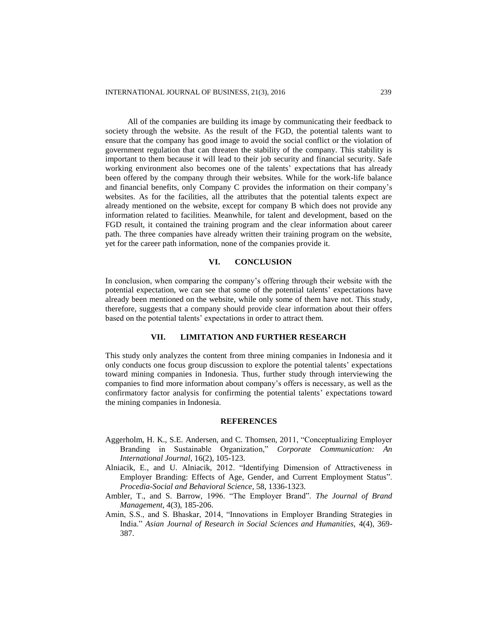All of the companies are building its image by communicating their feedback to society through the website. As the result of the FGD, the potential talents want to ensure that the company has good image to avoid the social conflict or the violation of government regulation that can threaten the stability of the company. This stability is important to them because it will lead to their job security and financial security. Safe working environment also becomes one of the talents' expectations that has already been offered by the company through their websites. While for the work-life balance and financial benefits, only Company C provides the information on their company's websites. As for the facilities, all the attributes that the potential talents expect are already mentioned on the website, except for company B which does not provide any information related to facilities. Meanwhile, for talent and development, based on the FGD result, it contained the training program and the clear information about career path. The three companies have already written their training program on the website, yet for the career path information, none of the companies provide it.

#### **VI. CONCLUSION**

In conclusion, when comparing the company's offering through their website with the potential expectation, we can see that some of the potential talents' expectations have already been mentioned on the website, while only some of them have not. This study, therefore, suggests that a company should provide clear information about their offers based on the potential talents' expectations in order to attract them.

### **VII. LIMITATION AND FURTHER RESEARCH**

This study only analyzes the content from three mining companies in Indonesia and it only conducts one focus group discussion to explore the potential talents' expectations toward mining companies in Indonesia. Thus, further study through interviewing the companies to find more information about company's offers is necessary, as well as the confirmatory factor analysis for confirming the potential talents' expectations toward the mining companies in Indonesia.

## **REFERENCES**

- Aggerholm, H. K., S.E. Andersen, and C. Thomsen, 2011, "Conceptualizing Employer Branding in Sustainable Organization," *Corporate Communication: An International Journal*, 16(2), 105-123.
- Alniacik, E.*,* and U. Alniacik, 2012. "Identifying Dimension of Attractiveness in Employer Branding: Effects of Age, Gender, and Current Employment Status". *Procedia-Social and Behavioral Science,* 58, 1336-1323.
- Ambler, T., and S. Barrow, 1996. "The Employer Brand". *The Journal of Brand Management*, 4(3), 185-206.
- Amin, S.S., and S. Bhaskar, 2014, "Innovations in Employer Branding Strategies in India." *Asian Journal of Research in Social Sciences and Humanities,* 4(4), 369- 387.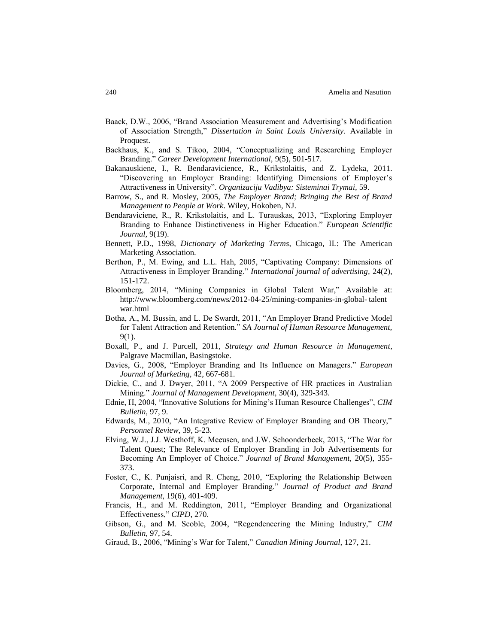- Baack, D.W., 2006, "Brand Association Measurement and Advertising's Modification of Association Strength," *Dissertation in Saint Louis University*. Available in Proquest.
- Backhaus, K., and S. Tikoo, 2004, "Conceptualizing and Researching Employer Branding." *Career Development International,* 9(5), 501-517.
- Bakanauskiene, I., R. Bendaravicience, R., Krikstolaitis, and Z. Lydeka, 2011. "Discovering an Employer Branding: Identifying Dimensions of Employer's Attractiveness in University". *Organizaciju Vadibya: Sisteminai Trymai,* 59.
- Barrow, S., and R. Mosley, 2005, *The Employer Brand; Bringing the Best of Brand Management to People at Work*. Wiley, Hokoben*,* NJ.
- Bendaraviciene, R., R. Krikstolaitis, and L. Turauskas, 2013, "Exploring Employer Branding to Enhance Distinctiveness in Higher Education." *European Scientific Journal,* 9(19).
- Bennett, P.D., 1998, *Dictionary of Marketing Terms*, Chicago, IL: The American Marketing Association.
- Berthon, P., M. Ewing, and L.L. Hah, 2005, "Captivating Company: Dimensions of Attractiveness in Employer Branding." *International journal of advertising,* 24(2), 151-172.
- Bloomberg, 2014, "Mining Companies in Global Talent War," Available at: [http://www.bloomberg.com/news/2012-04-25/mining-companies-in-global-](http://www.bloomberg.com/news/2012-04-25/mining-companies-in-global-talent%20war.html) talent [war.html](http://www.bloomberg.com/news/2012-04-25/mining-companies-in-global-talent%20war.html)
- Botha, A., M. Bussin, and L. De Swardt, 2011, "An Employer Brand Predictive Model for Talent Attraction and Retention." *SA Journal of Human Resource Management,* 9(1).
- Boxall, P., and J. Purcell, 2011, *Strategy and Human Resource in Management*, Palgrave Macmillan, Basingstoke*.*
- Davies, G., 2008, "Employer Branding and Its Influence on Managers." *European Journal of Marketing*, 42, 667-681.
- Dickie, C., and J. Dwyer, 2011, "A 2009 Perspective of HR practices in Australian Mining." *Journal of Management Development,* 30(4), 329-343.
- Ednie, H, 2004, "Innovative Solutions for Mining's Human Resource Challenges", *CIM Bulletin*, 97, 9.
- Edwards, M., 2010, "An Integrative Review of Employer Branding and OB Theory," *Personnel Review,* 39, 5-23.
- Elving, W.J., J.J. Westhoff, K. Meeusen, and J.W. Schoonderbeek, 2013, "The War for Talent Quest; The Relevance of Employer Branding in Job Advertisements for Becoming An Employer of Choice." *Journal of Brand Management,* 20(5), 355- 373.
- Foster, C., K. Punjaisri, and R. Cheng, 2010, "Exploring the Relationship Between Corporate, Internal and Employer Branding." *Journal of Product and Brand Management,* 19(6), 401-409.
- Francis, H., and M. Reddington, 2011, "Employer Branding and Organizational Effectiveness," *CIPD*, 270.
- Gibson, G., and M. Scoble, 2004, "Regendeneering the Mining Industry," *CIM Bulletin*, 97, 54.
- Giraud, B., 2006, "Mining's War for Talent," *Canadian Mining Journal,* 127, 21.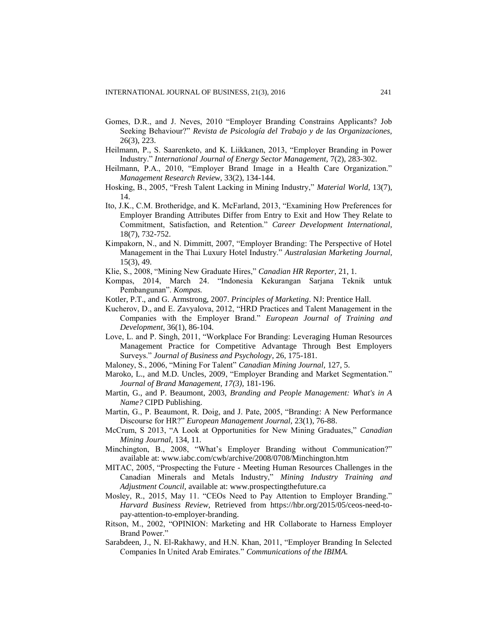- Gomes, D.R., and J. Neves, 2010 "Employer Branding Constrains Applicants? Job Seeking Behaviour?" *Revista de Psicología del Trabajo y de las Organizaciones,*  26(3), 223.
- Heilmann, P., S. Saarenketo, and K. Liikkanen, 2013, "Employer Branding in Power Industry." *International Journal of Energy Sector Management,* 7(2), 283-302.
- Heilmann, P.A., 2010, "Employer Brand Image in a Health Care Organization." *Management Research Review,* 33(2), 134-144.
- Hosking, B., 2005, "Fresh Talent Lacking in Mining Industry," *Material World*, 13(7), 14.
- Ito, J.K., C.M. Brotheridge, and K. McFarland, 2013, "Examining How Preferences for Employer Branding Attributes Differ from Entry to Exit and How They Relate to Commitment, Satisfaction, and Retention." *Career Development International,* 18(7), 732-752.
- Kimpakorn, N., and N. Dimmitt, 2007, "Employer Branding: The Perspective of Hotel Management in the Thai Luxury Hotel Industry." *Australasian Marketing Journal,* 15(3), 49.
- Klie, S., 2008, "Mining New Graduate Hires," *Canadian HR Reporter,* 21, 1.
- Kompas, 2014, March 24. "Indonesia Kekurangan Sarjana Teknik untuk Pembangunan". *Kompas.*
- Kotler, P.T., and G. Armstrong, 2007. *Principles of Marketing*. NJ: Prentice Hall.
- Kucherov, D., and E. Zavyalova, 2012, "HRD Practices and Talent Management in the Companies with the Employer Brand." *European Journal of Training and Development,* 36(1), 86-104.
- Love, L. and P. Singh, 2011, "Workplace For Branding: Leveraging Human Resources Management Practice for Competitive Advantage Through Best Employers Surveys." *Journal of Business and Psychology*, 26, 175-181.
- Maloney, S., 2006, "Mining For Talent" *Canadian Mining Journal,* 127, 5.
- Maroko, L., and M.D. Uncles, 2009, "Employer Branding and Market Segmentation." *Journal of Brand Management, 17(3),* 181-196.
- Martin, G., and P. Beaumont, 2003, *Branding and People Management: What's in A Name?* CIPD Publishing.
- Martin, G., P. Beaumont, R. Doig, and J. Pate, 2005, "Branding: A New Performance Discourse for HR?" *European Management Journal,* 23(1), 76-88.
- McCrum, S 2013, "A Look at Opportunities for New Mining Graduates," *Canadian Mining Journal*, 134, 11.
- Minchington, B., 2008, "What's Employer Branding without Communication?" available at[: www.iabc.com/cwb/archive/2008/0708/Minchington.htm](../../../TOSHIBA/AppData/Roaming/Microsoft/Word/www.iabc.com/cwb/archive/2008/0708/Minchington.htm)
- MITAC, 2005, "Prospecting the Future Meeting Human Resources Challenges in the Canadian Minerals and Metals Industry," *Mining Industry Training and Adjustment Council,* available at: www.prospectingthefuture.ca
- Mosley, R., 2015, May 11. "CEOs Need to Pay Attention to Employer Branding." *Harvard Business Review,* Retrieved from [https://hbr.org/2015/05/ceos-need-to](https://hbr.org/2015/05/ceos-need-to-pay-attention-to-employer-branding)[pay-attention-to-employer-branding.](https://hbr.org/2015/05/ceos-need-to-pay-attention-to-employer-branding)
- Ritson, M., 2002, "OPINION: Marketing and HR Collaborate to Harness Employer Brand Power."
- Sarabdeen, J., N. El-Rakhawy, and H.N. Khan, 2011, "Employer Branding In Selected Companies In United Arab Emirates." *Communications of the IBIMA.*